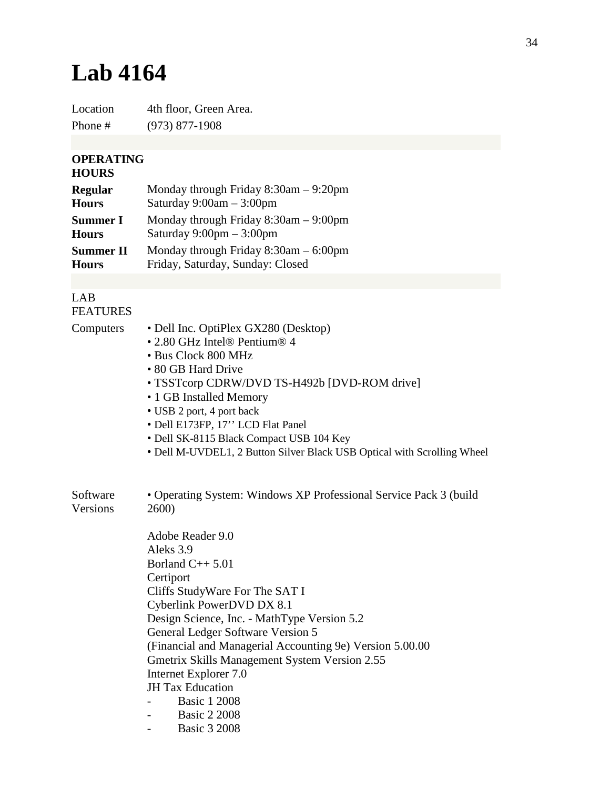## **Lab 4164**

Location 4th floor, Green Area. Phone # (973) 877-1908

## **OPERATING**

## **HOURS**

| <b>Regular</b>   | Monday through Friday $8:30$ am $-9:20$ pm |
|------------------|--------------------------------------------|
| <b>Hours</b>     | Saturday $9:00am - 3:00pm$                 |
| <b>Summer I</b>  | Monday through Friday $8:30$ am $-9:00$ pm |
| <b>Hours</b>     | Saturday $9:00 \text{pm} - 3:00 \text{pm}$ |
| <b>Summer II</b> | Monday through Friday $8:30$ am $-6:00$ pm |
| <b>Hours</b>     | Friday, Saturday, Sunday: Closed           |

## LAB FEATURES

Computers • Dell Inc. OptiPlex GX280 (Desktop) • 2.80 GHz Intel® Pentium® 4 • Bus Clock 800 MHz

- 80 GB Hard Drive
- TSSTcorp CDRW/DVD TS-H492b [DVD-ROM drive]
- 1 GB Installed Memory
- USB 2 port, 4 port back
- Dell E173FP, 17'' LCD Flat Panel
- Dell SK-8115 Black Compact USB 104 Key
- Dell M-UVDEL1, 2 Button Silver Black USB Optical with Scrolling Wheel

| Software | • Operating System: Windows XP Professional Service Pack 3 (build) |
|----------|--------------------------------------------------------------------|
| Versions | <b>2600</b>                                                        |
|          |                                                                    |
|          | Adobe Reader 9.0                                                   |

Aleks 3.9 Borland C++ 5.01 **Certiport** Cliffs StudyWare For The SAT I Cyberlink PowerDVD DX 8.1 Design Science, Inc. - MathType Version 5.2 General Ledger Software Version 5 (Financial and Managerial Accounting 9e) Version 5.00.00 Gmetrix Skills Management System Version 2.55 Internet Explorer 7.0 JH Tax Education - Basic 1 2008 **Basic 2 2008** 

- Basic 3 2008